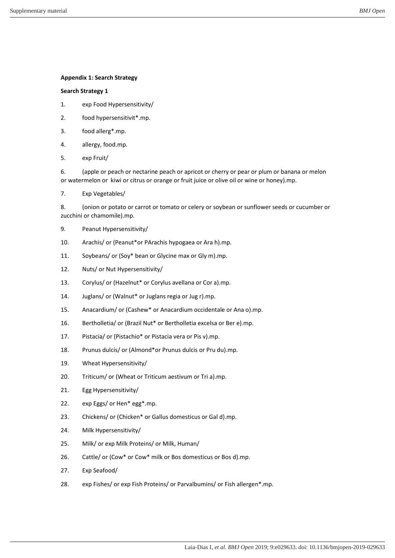### **Appendix 1: Search Strategy**

#### **Search Strategy 1**

- 1. exp Food Hypersensitivity/
- 2. food hypersensitivit\*.mp.
- 3. food allerg\*.mp.
- 4. allergy, food.mp.
- 5. exp Fruit/

6. (apple or peach or nectarine peach or apricot or cherry or pear or plum or banana or melon or watermelon or kiwi or citrus or orange or fruit juice or olive oil or wine or honey).mp.

7. Exp Vegetables/

8. (onion or potato or carrot or tomato or celery or soybean or sunflower seeds or cucumber or zucchini or chamomile).mp.

- 9. Peanut Hypersensitivity/
- 10. Arachis/ or (Peanut\*or PArachis hypogaea or Ara h).mp.
- 11. Soybeans/ or (Soy\* bean or Glycine max or Gly m).mp.
- 12. Nuts/ or Nut Hypersensitivity/
- 13. Corylus/ or (Hazelnut\* or Corylus avellana or Cor a).mp.
- 14. Juglans/ or (Walnut\* or Juglans regia or Jug r).mp.
- 15. Anacardium/ or (Cashew\* or Anacardium occidentale or Ana o).mp.
- 16. Bertholletia/ or (Brazil Nut\* or Bertholletia excelsa or Ber e).mp.
- 17. Pistacia/ or (Pistachio\* or Pistacia vera or Pis v).mp.
- 18. Prunus dulcis/ or (Almond\*or Prunus dulcis or Pru du).mp.
- 19. Wheat Hypersensitivity/
- 20. Triticum/ or (Wheat or Triticum aestivum or Tri a).mp.
- 21. Egg Hypersensitivity/
- 22. exp Eggs/ or Hen\* egg\*.mp.
- 23. Chickens/ or (Chicken\* or Gallus domesticus or Gal d).mp.
- 24. Milk Hypersensitivity/
- 25. Milk/ or exp Milk Proteins/ or Milk, Human/
- 26. Cattle/ or (Cow\* or Cow\* milk or Bos domesticus or Bos d).mp.
- 27. Exp Seafood/
- 28. exp Fishes/ or exp Fish Proteins/ or Parvalbumins/ or Fish allergen\*.mp.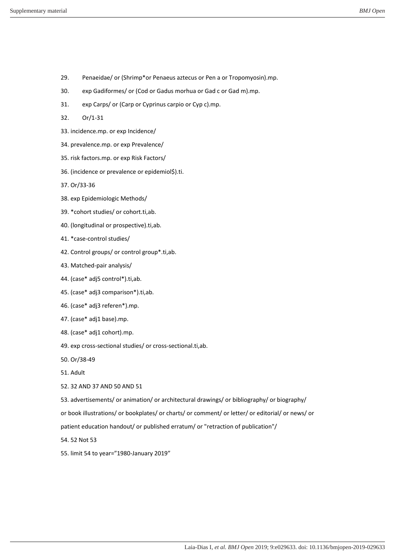- 29. Penaeidae/ or (Shrimp\*or Penaeus aztecus or Pen a or Tropomyosin).mp.
- 30. exp Gadiformes/ or (Cod or Gadus morhua or Gad c or Gad m).mp.
- 31. exp Carps/ or (Carp or Cyprinus carpio or Cyp c).mp.
- 32. Or/1-31
- 33. incidence.mp. or exp Incidence/
- 34. prevalence.mp. or exp Prevalence/
- 35. risk factors.mp. or exp Risk Factors/
- 36. (incidence or prevalence or epidemiol\$).ti.
- 37. Or/33-36
- 38. exp Epidemiologic Methods/
- 39. \*cohort studies/ or cohort.ti,ab.
- 40. (longitudinal or prospective).ti,ab.
- 41. \*case-control studies/
- 42. Control groups/ or control group\*.ti,ab.
- 43. Matched-pair analysis/
- 44. (case\* adj5 control\*).ti,ab.
- 45. (case\* adj3 comparison\*).ti,ab.
- 46. (case\* adj3 referen\*).mp.
- 47. (case\* adj1 base).mp.
- 48. (case\* adj1 cohort).mp.
- 49. exp cross-sectional studies/ or cross-sectional.ti,ab.
- 50. Or/38-49
- 51. Adult
- 52. 32 AND 37 AND 50 AND 51
- 53. advertisements/ or animation/ or architectural drawings/ or bibliography/ or biography/
- or book illustrations/ or bookplates/ or charts/ or comment/ or letter/ or editorial/ or news/ or
- patient education handout/ or published erratum/ or "retraction of publication"/
- 54. 52 Not 53
- 55. limit 54 to year="1980-January 2019"